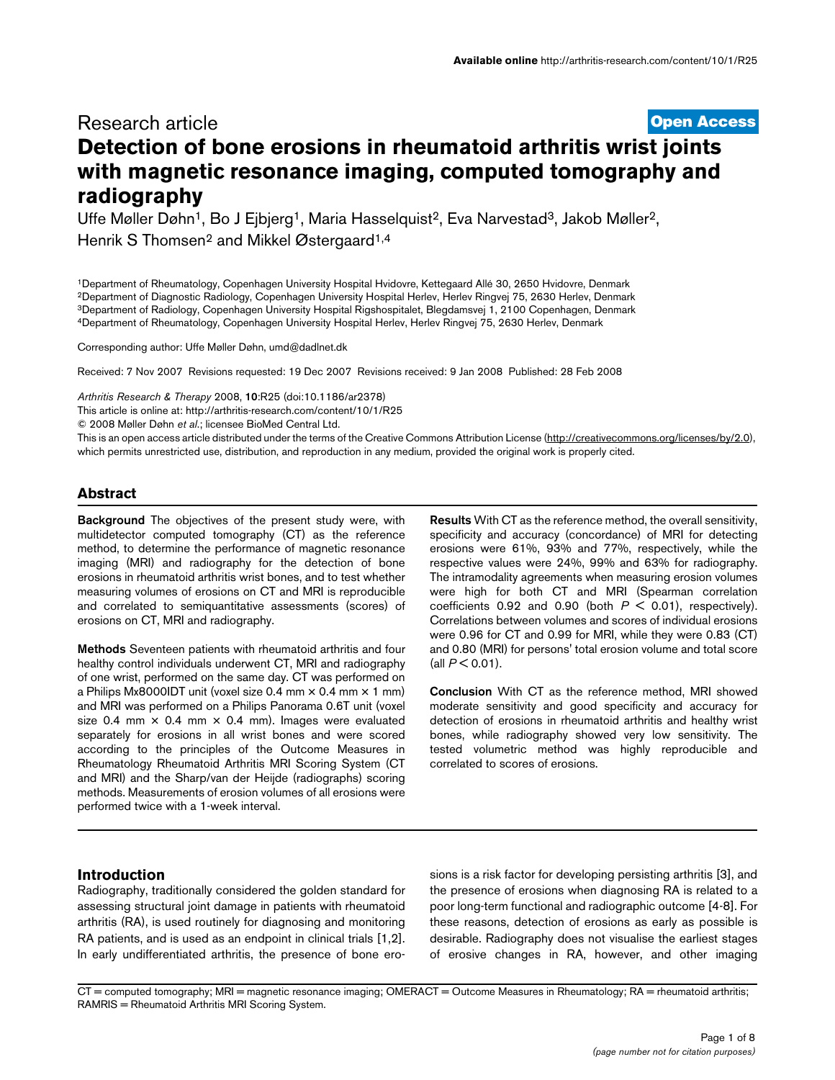# **[Open Access](http://www.biomedcentral.com/info/about/charter/)** Research article **Detection of bone erosions in rheumatoid arthritis wrist joints with magnetic resonance imaging, computed tomography and radiography**

Uffe Møller Døhn<sup>1</sup>, Bo J Ejbjerg<sup>1</sup>, Maria Hasselquist<sup>2</sup>, Eva Narvestad<sup>3</sup>, Jakob Møller<sup>2</sup>, Henrik S Thomsen<sup>2</sup> and Mikkel Østergaard<sup>1,4</sup>

1Department of Rheumatology, Copenhagen University Hospital Hvidovre, Kettegaard Allé 30, 2650 Hvidovre, Denmark 2Department of Diagnostic Radiology, Copenhagen University Hospital Herlev, Herlev Ringvej 75, 2630 Herlev, Denmark 3Department of Radiology, Copenhagen University Hospital Rigshospitalet, Blegdamsvej 1, 2100 Copenhagen, Denmark 4Department of Rheumatology, Copenhagen University Hospital Herlev, Herlev Ringvej 75, 2630 Herlev, Denmark

Corresponding author: Uffe Møller Døhn, umd@dadlnet.dk

Received: 7 Nov 2007 Revisions requested: 19 Dec 2007 Revisions received: 9 Jan 2008 Published: 28 Feb 2008

*Arthritis Research & Therapy* 2008, **10**:R25 (doi:10.1186/ar2378)

[This article is online at: http://arthritis-research.com/content/10/1/R25](http://arthritis-research.com/content/10/1/R25)

© 2008 Møller Døhn *et al*.; licensee BioMed Central Ltd.

This is an open access article distributed under the terms of the Creative Commons Attribution License [\(http://creativecommons.org/licenses/by/2.0\)](http://creativecommons.org/licenses/by/2.0), which permits unrestricted use, distribution, and reproduction in any medium, provided the original work is properly cited.

# **Abstract**

**Background** The objectives of the present study were, with multidetector computed tomography (CT) as the reference method, to determine the performance of magnetic resonance imaging (MRI) and radiography for the detection of bone erosions in rheumatoid arthritis wrist bones, and to test whether measuring volumes of erosions on CT and MRI is reproducible and correlated to semiquantitative assessments (scores) of erosions on CT, MRI and radiography.

**Methods** Seventeen patients with rheumatoid arthritis and four healthy control individuals underwent CT, MRI and radiography of one wrist, performed on the same day. CT was performed on a Philips Mx8000IDT unit (voxel size 0.4 mm × 0.4 mm × 1 mm) and MRI was performed on a Philips Panorama 0.6T unit (voxel size 0.4 mm  $\times$  0.4 mm  $\times$  0.4 mm). Images were evaluated separately for erosions in all wrist bones and were scored according to the principles of the Outcome Measures in Rheumatology Rheumatoid Arthritis MRI Scoring System (CT and MRI) and the Sharp/van der Heijde (radiographs) scoring methods. Measurements of erosion volumes of all erosions were performed twice with a 1-week interval.

**Results** With CT as the reference method, the overall sensitivity, specificity and accuracy (concordance) of MRI for detecting erosions were 61%, 93% and 77%, respectively, while the respective values were 24%, 99% and 63% for radiography. The intramodality agreements when measuring erosion volumes were high for both CT and MRI (Spearman correlation coefficients  $0.92$  and  $0.90$  (both  $P < 0.01$ ), respectively). Correlations between volumes and scores of individual erosions were 0.96 for CT and 0.99 for MRI, while they were 0.83 (CT) and 0.80 (MRI) for persons' total erosion volume and total score  $(kall P < 0.01)$ .

**Conclusion** With CT as the reference method, MRI showed moderate sensitivity and good specificity and accuracy for detection of erosions in rheumatoid arthritis and healthy wrist bones, while radiography showed very low sensitivity. The tested volumetric method was highly reproducible and correlated to scores of erosions.

# **Introduction**

Radiography, traditionally considered the golden standard for assessing structural joint damage in patients with rheumatoid arthritis (RA), is used routinely for diagnosing and monitoring RA patients, and is used as an endpoint in clinical trials [1,2]. In early undifferentiated arthritis, the presence of bone ero-

sions is a risk factor for developing persisting arthritis [3], and the presence of erosions when diagnosing RA is related to a poor long-term functional and radiographic outcome [4-8]. For these reasons, detection of erosions as early as possible is desirable. Radiography does not visualise the earliest stages of erosive changes in RA, however, and other imaging

CT = computed tomography; MRI = magnetic resonance imaging; OMERACT = Outcome Measures in Rheumatology; RA = rheumatoid arthritis; RAMRIS = Rheumatoid Arthritis MRI Scoring System.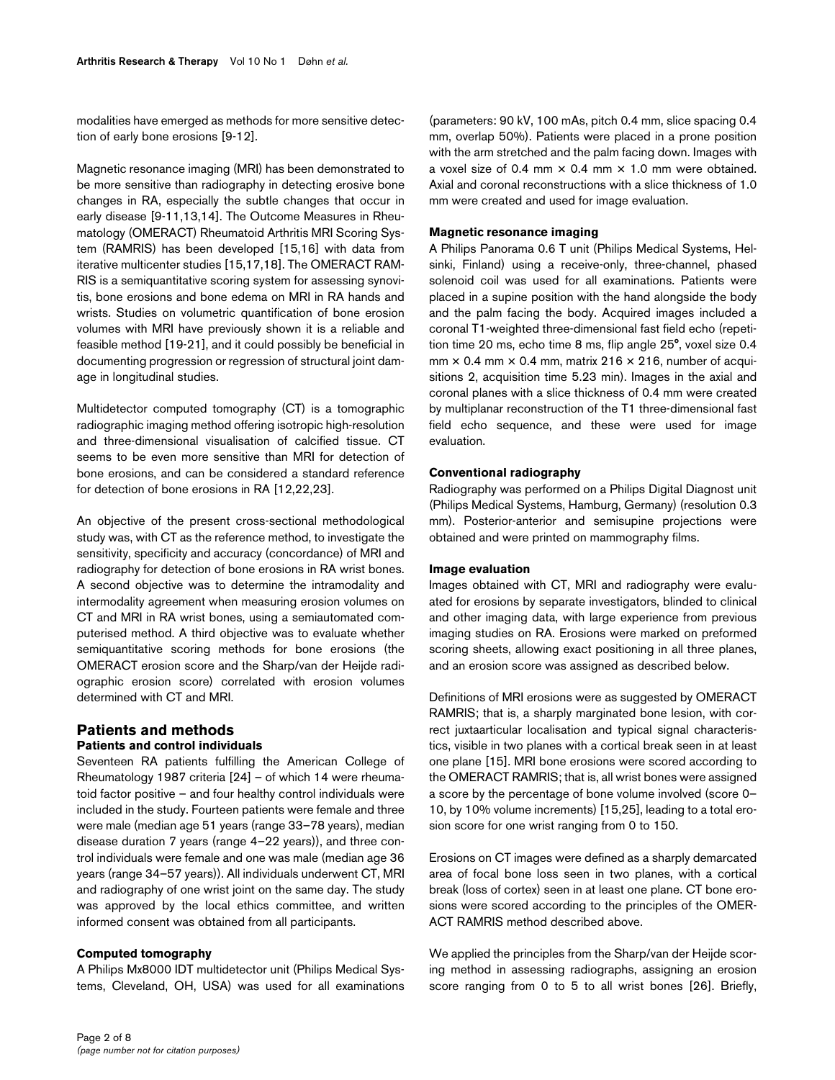modalities have emerged as methods for more sensitive detection of early bone erosions [9-12].

Magnetic resonance imaging (MRI) has been demonstrated to be more sensitive than radiography in detecting erosive bone changes in RA, especially the subtle changes that occur in early disease [9-11,13,14]. The Outcome Measures in Rheumatology (OMERACT) Rheumatoid Arthritis MRI Scoring System (RAMRIS) has been developed [15,16] with data from iterative multicenter studies [15,17,18]. The OMERACT RAM-RIS is a semiquantitative scoring system for assessing synovitis, bone erosions and bone edema on MRI in RA hands and wrists. Studies on volumetric quantification of bone erosion volumes with MRI have previously shown it is a reliable and feasible method [19-21], and it could possibly be beneficial in documenting progression or regression of structural joint damage in longitudinal studies.

Multidetector computed tomography (CT) is a tomographic radiographic imaging method offering isotropic high-resolution and three-dimensional visualisation of calcified tissue. CT seems to be even more sensitive than MRI for detection of bone erosions, and can be considered a standard reference for detection of bone erosions in RA [12,22,23].

An objective of the present cross-sectional methodological study was, with CT as the reference method, to investigate the sensitivity, specificity and accuracy (concordance) of MRI and radiography for detection of bone erosions in RA wrist bones. A second objective was to determine the intramodality and intermodality agreement when measuring erosion volumes on CT and MRI in RA wrist bones, using a semiautomated computerised method. A third objective was to evaluate whether semiquantitative scoring methods for bone erosions (the OMERACT erosion score and the Sharp/van der Heijde radiographic erosion score) correlated with erosion volumes determined with CT and MRI.

## **Patients and methods Patients and control individuals**

Seventeen RA patients fulfilling the American College of Rheumatology 1987 criteria [24] – of which 14 were rheumatoid factor positive – and four healthy control individuals were included in the study. Fourteen patients were female and three were male (median age 51 years (range 33–78 years), median disease duration 7 years (range 4–22 years)), and three control individuals were female and one was male (median age 36 years (range 34–57 years)). All individuals underwent CT, MRI and radiography of one wrist joint on the same day. The study was approved by the local ethics committee, and written informed consent was obtained from all participants.

### **Computed tomography**

A Philips Mx8000 IDT multidetector unit (Philips Medical Systems, Cleveland, OH, USA) was used for all examinations (parameters: 90 kV, 100 mAs, pitch 0.4 mm, slice spacing 0.4 mm, overlap 50%). Patients were placed in a prone position with the arm stretched and the palm facing down. Images with a voxel size of 0.4 mm  $\times$  0.4 mm  $\times$  1.0 mm were obtained. Axial and coronal reconstructions with a slice thickness of 1.0 mm were created and used for image evaluation.

## **Magnetic resonance imaging**

A Philips Panorama 0.6 T unit (Philips Medical Systems, Helsinki, Finland) using a receive-only, three-channel, phased solenoid coil was used for all examinations. Patients were placed in a supine position with the hand alongside the body and the palm facing the body. Acquired images included a coronal T1-weighted three-dimensional fast field echo (repetition time 20 ms, echo time 8 ms, flip angle 25°, voxel size 0.4 mm  $\times$  0.4 mm  $\times$  0.4 mm, matrix 216  $\times$  216, number of acquisitions 2, acquisition time 5.23 min). Images in the axial and coronal planes with a slice thickness of 0.4 mm were created by multiplanar reconstruction of the T1 three-dimensional fast field echo sequence, and these were used for image evaluation.

#### **Conventional radiography**

Radiography was performed on a Philips Digital Diagnost unit (Philips Medical Systems, Hamburg, Germany) (resolution 0.3 mm). Posterior-anterior and semisupine projections were obtained and were printed on mammography films.

### **Image evaluation**

Images obtained with CT, MRI and radiography were evaluated for erosions by separate investigators, blinded to clinical and other imaging data, with large experience from previous imaging studies on RA. Erosions were marked on preformed scoring sheets, allowing exact positioning in all three planes, and an erosion score was assigned as described below.

Definitions of MRI erosions were as suggested by OMERACT RAMRIS; that is, a sharply marginated bone lesion, with correct juxtaarticular localisation and typical signal characteristics, visible in two planes with a cortical break seen in at least one plane [15]. MRI bone erosions were scored according to the OMERACT RAMRIS; that is, all wrist bones were assigned a score by the percentage of bone volume involved (score 0– 10, by 10% volume increments) [15,25], leading to a total erosion score for one wrist ranging from 0 to 150.

Erosions on CT images were defined as a sharply demarcated area of focal bone loss seen in two planes, with a cortical break (loss of cortex) seen in at least one plane. CT bone erosions were scored according to the principles of the OMER-ACT RAMRIS method described above.

We applied the principles from the Sharp/van der Heijde scoring method in assessing radiographs, assigning an erosion score ranging from 0 to 5 to all wrist bones [26]. Briefly,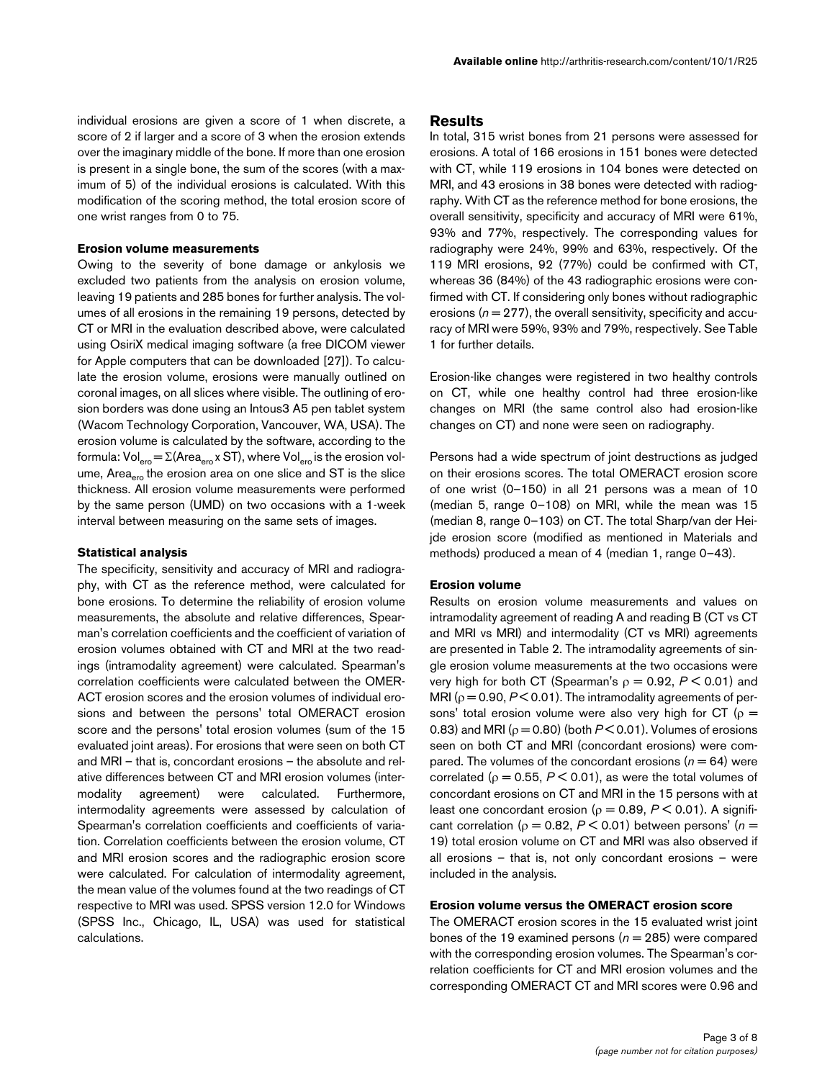individual erosions are given a score of 1 when discrete, a score of 2 if larger and a score of 3 when the erosion extends over the imaginary middle of the bone. If more than one erosion is present in a single bone, the sum of the scores (with a maximum of 5) of the individual erosions is calculated. With this modification of the scoring method, the total erosion score of one wrist ranges from 0 to 75.

#### **Erosion volume measurements**

Owing to the severity of bone damage or ankylosis we excluded two patients from the analysis on erosion volume, leaving 19 patients and 285 bones for further analysis. The volumes of all erosions in the remaining 19 persons, detected by CT or MRI in the evaluation described above, were calculated using OsiriX medical imaging software (a free DICOM viewer for Apple computers that can be downloaded [27]). To calculate the erosion volume, erosions were manually outlined on coronal images, on all slices where visible. The outlining of erosion borders was done using an Intous3 A5 pen tablet system (Wacom Technology Corporation, Vancouver, WA, USA). The erosion volume is calculated by the software, according to the formula:  $Vol_{ero} = \Sigma (Area_{ero} \times ST)$ , where  $Vol_{ero}$  is the erosion volume, Area<sub>ero</sub> the erosion area on one slice and  $ST$  is the slice thickness. All erosion volume measurements were performed by the same person (UMD) on two occasions with a 1-week interval between measuring on the same sets of images.

#### **Statistical analysis**

The specificity, sensitivity and accuracy of MRI and radiography, with CT as the reference method, were calculated for bone erosions. To determine the reliability of erosion volume measurements, the absolute and relative differences, Spearman's correlation coefficients and the coefficient of variation of erosion volumes obtained with CT and MRI at the two readings (intramodality agreement) were calculated. Spearman's correlation coefficients were calculated between the OMER-ACT erosion scores and the erosion volumes of individual erosions and between the persons' total OMERACT erosion score and the persons' total erosion volumes (sum of the 15 evaluated joint areas). For erosions that were seen on both CT and MRI – that is, concordant erosions – the absolute and relative differences between CT and MRI erosion volumes (intermodality agreement) were calculated. Furthermore, intermodality agreements were assessed by calculation of Spearman's correlation coefficients and coefficients of variation. Correlation coefficients between the erosion volume, CT and MRI erosion scores and the radiographic erosion score were calculated. For calculation of intermodality agreement, the mean value of the volumes found at the two readings of CT respective to MRI was used. SPSS version 12.0 for Windows (SPSS Inc., Chicago, IL, USA) was used for statistical calculations.

# **Results**

In total, 315 wrist bones from 21 persons were assessed for erosions. A total of 166 erosions in 151 bones were detected with CT, while 119 erosions in 104 bones were detected on MRI, and 43 erosions in 38 bones were detected with radiography. With CT as the reference method for bone erosions, the overall sensitivity, specificity and accuracy of MRI were 61%, 93% and 77%, respectively. The corresponding values for radiography were 24%, 99% and 63%, respectively. Of the 119 MRI erosions, 92 (77%) could be confirmed with CT, whereas 36 (84%) of the 43 radiographic erosions were confirmed with CT. If considering only bones without radiographic erosions  $(n = 277)$ , the overall sensitivity, specificity and accuracy of MRI were 59%, 93% and 79%, respectively. See Table [1](#page-3-0) for further details.

Erosion-like changes were registered in two healthy controls on CT, while one healthy control had three erosion-like changes on MRI (the same control also had erosion-like changes on CT) and none were seen on radiography.

Persons had a wide spectrum of joint destructions as judged on their erosions scores. The total OMERACT erosion score of one wrist (0–150) in all 21 persons was a mean of 10 (median 5, range 0–108) on MRI, while the mean was 15 (median 8, range 0–103) on CT. The total Sharp/van der Heijde erosion score (modified as mentioned in Materials and methods) produced a mean of 4 (median 1, range 0–43).

#### **Erosion volume**

Results on erosion volume measurements and values on intramodality agreement of reading A and reading B (CT vs CT and MRI vs MRI) and intermodality (CT vs MRI) agreements are presented in Table [2](#page-4-0). The intramodality agreements of single erosion volume measurements at the two occasions were very high for both CT (Spearman's  $ρ = 0.92, P < 0.01$ ) and MRI ( $\rho = 0.90$ ,  $P < 0.01$ ). The intramodality agreements of persons' total erosion volume were also very high for CT ( $\rho =$ 0.83) and MRI ( $\rho = 0.80$ ) (both  $P < 0.01$ ). Volumes of erosions seen on both CT and MRI (concordant erosions) were compared. The volumes of the concordant erosions (*n* = 64) were correlated ( $\rho = 0.55$ ,  $P \le 0.01$ ), as were the total volumes of concordant erosions on CT and MRI in the 15 persons with at least one concordant erosion ( $\rho = 0.89$ ,  $P \le 0.01$ ). A significant correlation ( $\rho = 0.82$ ,  $P < 0.01$ ) between persons' ( $n =$ 19) total erosion volume on CT and MRI was also observed if all erosions – that is, not only concordant erosions – were included in the analysis.

# **Erosion volume versus the OMERACT erosion score**

The OMERACT erosion scores in the 15 evaluated wrist joint bones of the 19 examined persons  $(n = 285)$  were compared with the corresponding erosion volumes. The Spearman's correlation coefficients for CT and MRI erosion volumes and the corresponding OMERACT CT and MRI scores were 0.96 and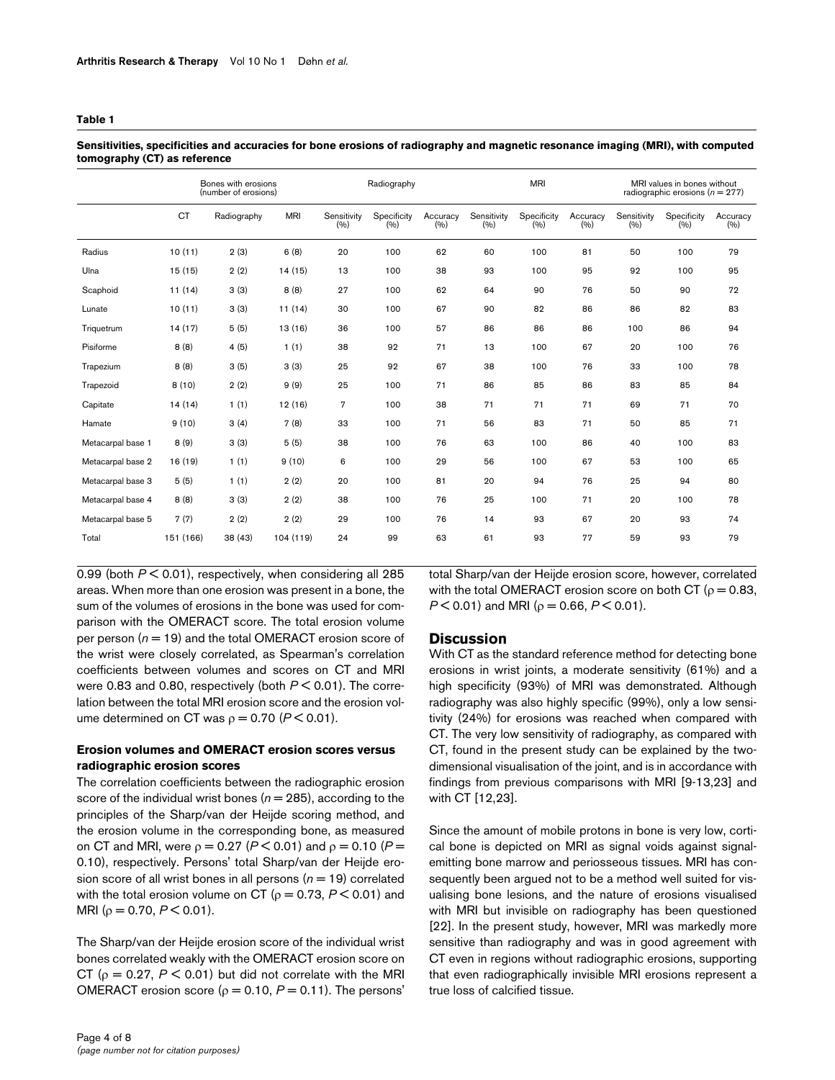#### <span id="page-3-0"></span>**Table 1**

|                   | Bones with erosions<br>(number of erosions) |             |            | Radiography          |                      |                   | <b>MRI</b>           |                      |                   | MRI values in bones without<br>radiographic erosions ( $n = 277$ ) |                      |                   |
|-------------------|---------------------------------------------|-------------|------------|----------------------|----------------------|-------------------|----------------------|----------------------|-------------------|--------------------------------------------------------------------|----------------------|-------------------|
|                   | <b>CT</b>                                   | Radiography | <b>MRI</b> | Sensitivity<br>(9/6) | Specificity<br>(9/6) | Accuracy<br>(9/6) | Sensitivity<br>(9/6) | Specificity<br>(9/6) | Accuracy<br>(9/0) | Sensitivity<br>(9/0)                                               | Specificity<br>(9/6) | Accuracy<br>(9/0) |
| Radius            | 10(11)                                      | 2(3)        | 6(8)       | 20                   | 100                  | 62                | 60                   | 100                  | 81                | 50                                                                 | 100                  | 79                |
| Ulna              | 15(15)                                      | 2(2)        | 14(15)     | 13                   | 100                  | 38                | 93                   | 100                  | 95                | 92                                                                 | 100                  | 95                |
| Scaphoid          | 11(14)                                      | 3(3)        | 8(8)       | 27                   | 100                  | 62                | 64                   | 90                   | 76                | 50                                                                 | 90                   | 72                |
| Lunate            | 10(11)                                      | 3(3)        | 11(14)     | 30                   | 100                  | 67                | 90                   | 82                   | 86                | 86                                                                 | 82                   | 83                |
| Triquetrum        | 14(17)                                      | 5(5)        | 13 (16)    | 36                   | 100                  | 57                | 86                   | 86                   | 86                | 100                                                                | 86                   | 94                |
| Pisiforme         | 8(8)                                        | 4(5)        | 1(1)       | 38                   | 92                   | 71                | 13                   | 100                  | 67                | 20                                                                 | 100                  | 76                |
| Trapezium         | 8(8)                                        | 3(5)        | 3(3)       | 25                   | 92                   | 67                | 38                   | 100                  | 76                | 33                                                                 | 100                  | 78                |
| Trapezoid         | 8(10)                                       | 2(2)        | 9(9)       | 25                   | 100                  | 71                | 86                   | 85                   | 86                | 83                                                                 | 85                   | 84                |
| Capitate          | 14(14)                                      | 1(1)        | 12 (16)    | $\overline{7}$       | 100                  | 38                | 71                   | 71                   | 71                | 69                                                                 | 71                   | 70                |
| Hamate            | 9(10)                                       | 3(4)        | 7(8)       | 33                   | 100                  | 71                | 56                   | 83                   | 71                | 50                                                                 | 85                   | 71                |
| Metacarpal base 1 | 8(9)                                        | 3(3)        | 5(5)       | 38                   | 100                  | 76                | 63                   | 100                  | 86                | 40                                                                 | 100                  | 83                |
| Metacarpal base 2 | 16 (19)                                     | 1(1)        | 9(10)      | 6                    | 100                  | 29                | 56                   | 100                  | 67                | 53                                                                 | 100                  | 65                |
| Metacarpal base 3 | 5(5)                                        | 1(1)        | 2(2)       | 20                   | 100                  | 81                | 20                   | 94                   | 76                | 25                                                                 | 94                   | 80                |
| Metacarpal base 4 | 8(8)                                        | 3(3)        | 2(2)       | 38                   | 100                  | 76                | 25                   | 100                  | 71                | 20                                                                 | 100                  | 78                |
| Metacarpal base 5 | 7(7)                                        | 2(2)        | 2(2)       | 29                   | 100                  | 76                | 14                   | 93                   | 67                | 20                                                                 | 93                   | 74                |
| Total             | 151 (166)                                   | 38 (43)     | 104 (119)  | 24                   | 99                   | 63                | 61                   | 93                   | 77                | 59                                                                 | 93                   | 79                |

#### **Sensitivities, specificities and accuracies for bone erosions of radiography and magnetic resonance imaging (MRI), with computed tomography (CT) as reference**

0.99 (both *P* < 0.01), respectively, when considering all 285 areas. When more than one erosion was present in a bone, the sum of the volumes of erosions in the bone was used for comparison with the OMERACT score. The total erosion volume per person (*n* = 19) and the total OMERACT erosion score of the wrist were closely correlated, as Spearman's correlation coefficients between volumes and scores on CT and MRI were 0.83 and 0.80, respectively (both *P* < 0.01). The correlation between the total MRI erosion score and the erosion volume determined on CT was  $\rho = 0.70$  ( $P < 0.01$ ).

# **Erosion volumes and OMERACT erosion scores versus radiographic erosion scores**

The correlation coefficients between the radiographic erosion score of the individual wrist bones ( $n = 285$ ), according to the principles of the Sharp/van der Heijde scoring method, and the erosion volume in the corresponding bone, as measured on CT and MRI, were ρ = 0.27 (*P* < 0.01) and ρ = 0.10 (*P* = 0.10), respectively. Persons' total Sharp/van der Heijde erosion score of all wrist bones in all persons (*n* = 19) correlated with the total erosion volume on CT ( $\rho = 0.73$ ,  $P \le 0.01$ ) and MRI ( $\rho = 0.70$ ,  $P < 0.01$ ).

The Sharp/van der Heijde erosion score of the individual wrist bones correlated weakly with the OMERACT erosion score on CT ( $\rho = 0.27$ ,  $P \le 0.01$ ) but did not correlate with the MRI OMERACT erosion score ( $\rho = 0.10$ ,  $P = 0.11$ ). The persons' total Sharp/van der Heijde erosion score, however, correlated with the total OMERACT erosion score on both CT ( $\rho = 0.83$ , *P*  $<$  0.01) and MRI ( $\rho$  = 0.66, *P*  $<$  0.01).

# **Discussion**

With CT as the standard reference method for detecting bone erosions in wrist joints, a moderate sensitivity (61%) and a high specificity (93%) of MRI was demonstrated. Although radiography was also highly specific (99%), only a low sensitivity (24%) for erosions was reached when compared with CT. The very low sensitivity of radiography, as compared with CT, found in the present study can be explained by the twodimensional visualisation of the joint, and is in accordance with findings from previous comparisons with MRI [9-13,23] and with CT [12,23].

Since the amount of mobile protons in bone is very low, cortical bone is depicted on MRI as signal voids against signalemitting bone marrow and periosseous tissues. MRI has consequently been argued not to be a method well suited for visualising bone lesions, and the nature of erosions visualised with MRI but invisible on radiography has been questioned [22]. In the present study, however, MRI was markedly more sensitive than radiography and was in good agreement with CT even in regions without radiographic erosions, supporting that even radiographically invisible MRI erosions represent a true loss of calcified tissue.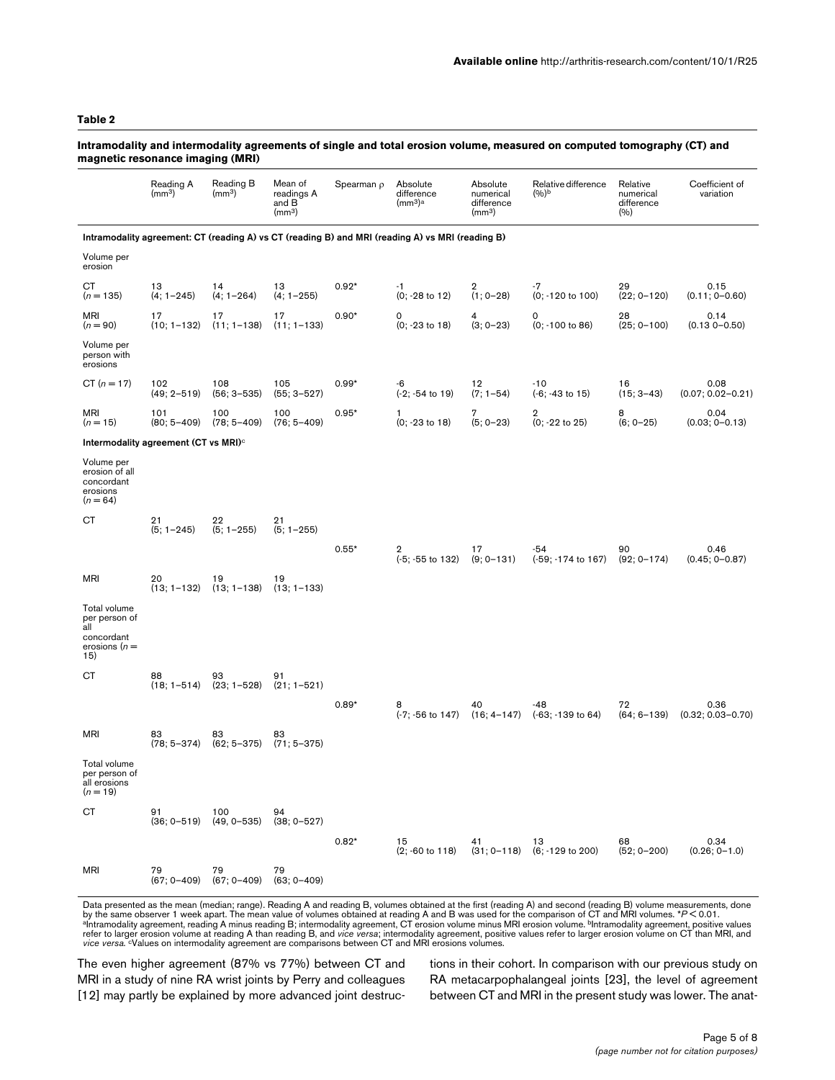## <span id="page-4-0"></span>**Table 2**

#### **Intramodality and intermodality agreements of single and total erosion volume, measured on computed tomography (CT) and magnetic resonance imaging (MRI)**

|                                                                                                  | Reading A<br>(mm <sup>3</sup> ) | Reading B<br>(mm <sup>3</sup> )                 | Mean of<br>readings A<br>and B<br>(mm <sup>3</sup> ) | Spearman $\rho$ | Absolute<br>difference<br>(mm <sup>3</sup> )a | Absolute<br>numerical<br>difference<br>(mm <sup>3</sup> ) | Relative difference<br>$(0/0)$ <sub>b</sub> | Relative<br>numerical<br>difference<br>(9/6) | Coefficient of<br>variation   |  |  |  |
|--------------------------------------------------------------------------------------------------|---------------------------------|-------------------------------------------------|------------------------------------------------------|-----------------|-----------------------------------------------|-----------------------------------------------------------|---------------------------------------------|----------------------------------------------|-------------------------------|--|--|--|
| Intramodality agreement: CT (reading A) vs CT (reading B) and MRI (reading A) vs MRI (reading B) |                                 |                                                 |                                                      |                 |                                               |                                                           |                                             |                                              |                               |  |  |  |
| Volume per<br>erosion                                                                            |                                 |                                                 |                                                      |                 |                                               |                                                           |                                             |                                              |                               |  |  |  |
| СT<br>$(n = 135)$                                                                                | 13<br>$(4; 1 - 245)$            | 14<br>$(4; 1 - 264)$                            | 13<br>$(4; 1 - 255)$                                 | $0.92*$         | -1<br>$(0; -28$ to 12)                        | 2<br>$(1; 0-28)$                                          | -7<br>$(0; -120$ to 100)                    | 29<br>$(22; 0 - 120)$                        | 0.15<br>$(0.11; 0 - 0.60)$    |  |  |  |
| MRI<br>$(n = 90)$                                                                                | 17<br>$(10; 1 - 132)$           | 17<br>$(11; 1 - 138)$                           | 17<br>$(11; 1 - 133)$                                | $0.90*$         | 0<br>$(0; -23$ to 18)                         | $(3; 0-23)$                                               | 0<br>$(0; -100)$ to 86)                     | 28<br>$(25; 0 - 100)$                        | 0.14<br>$(0.130 - -0.50)$     |  |  |  |
| Volume per<br>person with<br>erosions                                                            |                                 |                                                 |                                                      |                 |                                               |                                                           |                                             |                                              |                               |  |  |  |
| $CT (n = 17)$                                                                                    | 102<br>$(49; 2 - 519)$          | 108<br>$(56; 3 - 535)$                          | 105<br>$(55; 3 - 527)$                               | $0.99*$         | -6<br>$(-2; -54$ to 19)                       | 12<br>$(7; 1 - 54)$                                       | -10<br>$(-6; -43)$ to $15)$                 | 16<br>$(15; 3 - 43)$                         | 0.08<br>$(0.07; 0.02 - 0.21)$ |  |  |  |
| MRI<br>$(n = 15)$                                                                                | 101<br>$(80; 5 - 409)$          | 100<br>$(78; 5 - 409)$                          | 100<br>$(76; 5 - 409)$                               | $0.95*$         | 1<br>$(0; -23$ to 18)                         | 7<br>$(5; 0-23)$                                          | 2<br>$(0; -22$ to 25)                       | 8<br>$(6; 0-25)$                             | 0.04<br>$(0.03; 0 - 0.13)$    |  |  |  |
| Intermodality agreement (CT vs MRI) <sup>c</sup>                                                 |                                 |                                                 |                                                      |                 |                                               |                                                           |                                             |                                              |                               |  |  |  |
| Volume per<br>erosion of all<br>concordant<br>erosions<br>$(n = 64)$                             |                                 |                                                 |                                                      |                 |                                               |                                                           |                                             |                                              |                               |  |  |  |
| СT                                                                                               | 21<br>$(5; 1 - 245)$            | 22<br>$(5; 1 - 255)$                            | 21<br>$(5; 1 - 255)$                                 |                 |                                               |                                                           |                                             |                                              |                               |  |  |  |
|                                                                                                  |                                 |                                                 |                                                      | $0.55*$         | 2<br>$(-5; -55)$ to 132)                      | 17<br>$(9; 0 - 131)$                                      | $-54$<br>(-59; -174 to 167)                 | 90<br>$(92; 0 - 174)$                        | 0.46<br>$(0.45; 0 - 0.87)$    |  |  |  |
| mri                                                                                              | 20<br>$(13; 1 - 132)$           | 19<br>$(13; 1 - 138)$                           | 19<br>$(13; 1 - 133)$                                |                 |                                               |                                                           |                                             |                                              |                               |  |  |  |
| Total volume<br>per person of<br>all<br>concordant<br>erosions ( $n =$<br>15)                    |                                 |                                                 |                                                      |                 |                                               |                                                           |                                             |                                              |                               |  |  |  |
| <b>CT</b>                                                                                        | 88<br>$(18; 1 - 514)$           | 93<br>$(23; 1 - 528)$                           | 91<br>$(21; 1 - 521)$                                |                 |                                               |                                                           |                                             |                                              |                               |  |  |  |
|                                                                                                  |                                 |                                                 |                                                      | $0.89*$         | 8<br>$(-7; -56$ to 147)                       | 40<br>$(16; 4 - 147)$                                     | $-48$<br>(-63; -139 to 64)                  | 72<br>$(64; 6 - 139)$                        | 0.36<br>$(0.32; 0.03 - 0.70)$ |  |  |  |
| <b>MRI</b>                                                                                       | 83<br>$(78; 5 - 374)$           | 83<br>$(62; 5 - 375)$                           | 83<br>$(71; 5 - 375)$                                |                 |                                               |                                                           |                                             |                                              |                               |  |  |  |
| Total volume<br>per person of<br>all erosions<br>$(n = 19)$                                      |                                 |                                                 |                                                      |                 |                                               |                                                           |                                             |                                              |                               |  |  |  |
| CT                                                                                               | 91                              | 100<br>$(36; 0-519)$ $(49, 0-535)$              | 94<br>$(38; 0 - 527)$                                |                 |                                               |                                                           |                                             |                                              |                               |  |  |  |
|                                                                                                  |                                 |                                                 |                                                      | $0.82*$         | 15<br>$(2; -60 \text{ to } 118)$              |                                                           | 41 13<br>(31; 0-118) (6; -129 to 200)       | 68<br>(52; 0-200)                            | 0.34<br>$(0.26; 0 - 1.0)$     |  |  |  |
| MRI                                                                                              | 79                              | 79<br>$(67; 0-409)$ $(67; 0-409)$ $(63; 0-409)$ | 79                                                   |                 |                                               |                                                           |                                             |                                              |                               |  |  |  |

Data presented as the mean (median; range). Reading A and reading B, volumes obtained at the first (reading A) and second (reading B) volume measurements, done<br>by the same observer 1 week apart. The mean value of volumes by the same observer 1 week apart. The mean value of volumes obtained at reading A and B was used for the comparison of CT and MRI volumes. \*P<0.01.<br>ªIntramodality agreement, reading A minus reading B; intermodality agree

The even higher agreement (87% vs 77%) between CT and MRI in a study of nine RA wrist joints by Perry and colleagues [12] may partly be explained by more advanced joint destructions in their cohort. In comparison with our previous study on RA metacarpophalangeal joints [23], the level of agreement between CT and MRI in the present study was lower. The anat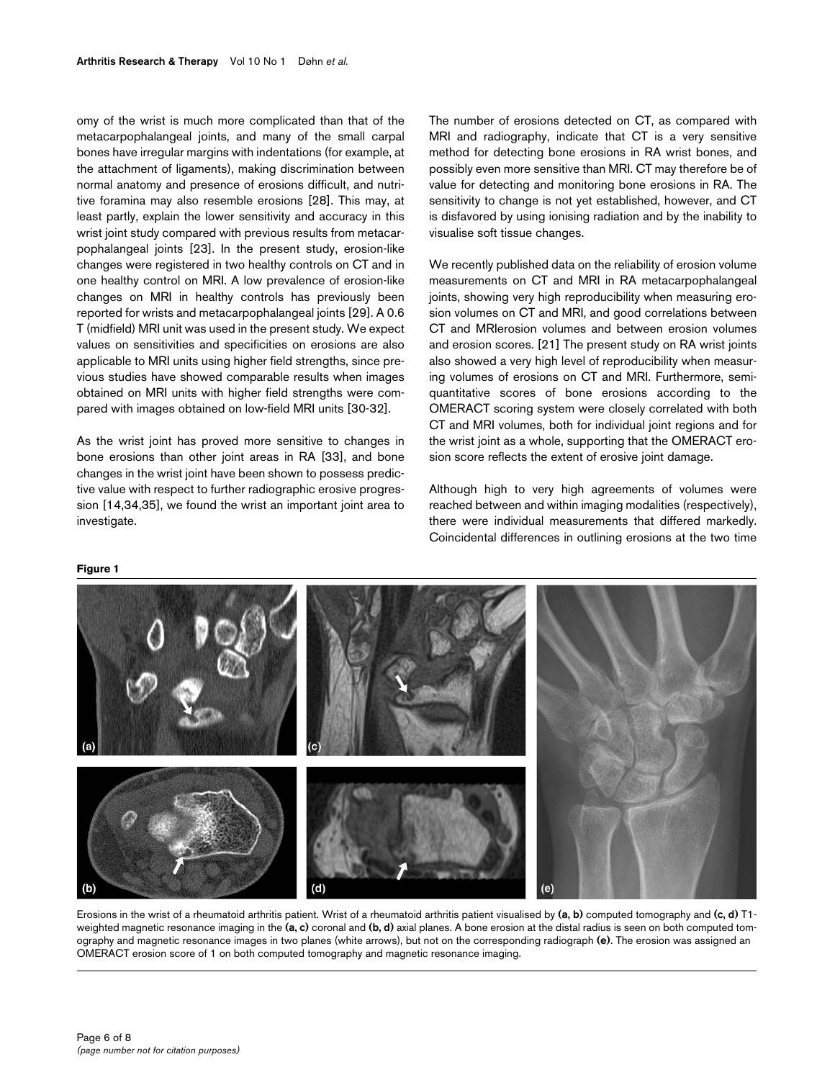omy of the wrist is much more complicated than that of the metacarpophalangeal joints, and many of the small carpal bones have irregular margins with indentations (for example, at the attachment of ligaments), making discrimination between normal anatomy and presence of erosions difficult, and nutritive foramina may also resemble erosions [28]. This may, at least partly, explain the lower sensitivity and accuracy in this wrist joint study compared with previous results from metacarpophalangeal joints [23]. In the present study, erosion-like changes were registered in two healthy controls on CT and in one healthy control on MRI. A low prevalence of erosion-like changes on MRI in healthy controls has previously been reported for wrists and metacarpophalangeal joints [29]. A 0.6 T (midfield) MRI unit was used in the present study. We expect values on sensitivities and specificities on erosions are also applicable to MRI units using higher field strengths, since previous studies have showed comparable results when images obtained on MRI units with higher field strengths were compared with images obtained on low-field MRI units [30-32].

As the wrist joint has proved more sensitive to changes in bone erosions than other joint areas in RA [33], and bone changes in the wrist joint have been shown to possess predictive value with respect to further radiographic erosive progression [14,34,35], we found the wrist an important joint area to investigate.

The number of erosions detected on CT, as compared with MRI and radiography, indicate that CT is a very sensitive method for detecting bone erosions in RA wrist bones, and possibly even more sensitive than MRI. CT may therefore be of value for detecting and monitoring bone erosions in RA. The sensitivity to change is not yet established, however, and CT is disfavored by using ionising radiation and by the inability to visualise soft tissue changes.

We recently published data on the reliability of erosion volume measurements on CT and MRI in RA metacarpophalangeal joints, showing very high reproducibility when measuring erosion volumes on CT and MRI, and good correlations between CT and MRIerosion volumes and between erosion volumes and erosion scores. [21] The present study on RA wrist joints also showed a very high level of reproducibility when measuring volumes of erosions on CT and MRI. Furthermore, semiquantitative scores of bone erosions according to the OMERACT scoring system were closely correlated with both CT and MRI volumes, both for individual joint regions and for the wrist joint as a whole, supporting that the OMERACT erosion score reflects the extent of erosive joint damage.

Although high to very high agreements of volumes were reached between and within imaging modalities (respectively), there were individual measurements that differed markedly. Coincidental differences in outlining erosions at the two time



Erosions in the wrist of a rheumatoid arthritis patient. Wrist of a rheumatoid arthritis patient visualised by  $(a, b)$  computed tomography and  $(c, d)$  T1weighted magnetic resonance imaging in the **(a, c)** coronal and **(b, d)** axial planes. A bone erosion at the distal radius is seen on both computed tomography and magnetic resonance images in two planes (white arrows), but not on the corresponding radiograph **(e)**. The erosion was assigned an OMERACT erosion score of 1 on both computed tomography and magnetic resonance imaging.

#### **Figure 1**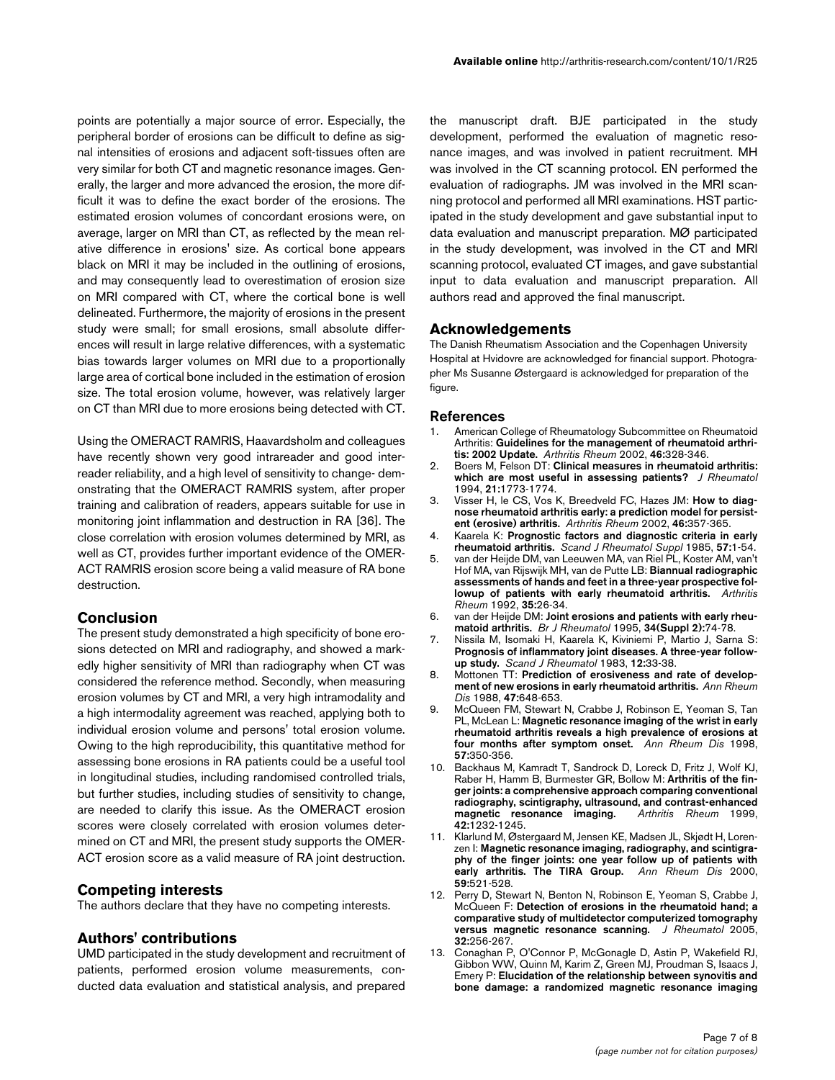points are potentially a major source of error. Especially, the peripheral border of erosions can be difficult to define as signal intensities of erosions and adjacent soft-tissues often are very similar for both CT and magnetic resonance images. Generally, the larger and more advanced the erosion, the more difficult it was to define the exact border of the erosions. The estimated erosion volumes of concordant erosions were, on average, larger on MRI than CT, as reflected by the mean relative difference in erosions' size. As cortical bone appears black on MRI it may be included in the outlining of erosions, and may consequently lead to overestimation of erosion size on MRI compared with CT, where the cortical bone is well delineated. Furthermore, the majority of erosions in the present study were small; for small erosions, small absolute differences will result in large relative differences, with a systematic bias towards larger volumes on MRI due to a proportionally large area of cortical bone included in the estimation of erosion size. The total erosion volume, however, was relatively larger on CT than MRI due to more erosions being detected with CT.

Using the OMERACT RAMRIS, Haavardsholm and colleagues have recently shown very good intrareader and good interreader reliability, and a high level of sensitivity to change- demonstrating that the OMERACT RAMRIS system, after proper training and calibration of readers, appears suitable for use in monitoring joint inflammation and destruction in RA [36]. The close correlation with erosion volumes determined by MRI, as well as CT, provides further important evidence of the OMER-ACT RAMRIS erosion score being a valid measure of RA bone destruction.

# **Conclusion**

The present study demonstrated a high specificity of bone erosions detected on MRI and radiography, and showed a markedly higher sensitivity of MRI than radiography when CT was considered the reference method. Secondly, when measuring erosion volumes by CT and MRI, a very high intramodality and a high intermodality agreement was reached, applying both to individual erosion volume and persons' total erosion volume. Owing to the high reproducibility, this quantitative method for assessing bone erosions in RA patients could be a useful tool in longitudinal studies, including randomised controlled trials, but further studies, including studies of sensitivity to change, are needed to clarify this issue. As the OMERACT erosion scores were closely correlated with erosion volumes determined on CT and MRI, the present study supports the OMER-ACT erosion score as a valid measure of RA joint destruction.

# **Competing interests**

The authors declare that they have no competing interests.

# **Authors' contributions**

UMD participated in the study development and recruitment of patients, performed erosion volume measurements, conducted data evaluation and statistical analysis, and prepared

the manuscript draft. BJE participated in the study development, performed the evaluation of magnetic resonance images, and was involved in patient recruitment. MH was involved in the CT scanning protocol. EN performed the evaluation of radiographs. JM was involved in the MRI scanning protocol and performed all MRI examinations. HST participated in the study development and gave substantial input to data evaluation and manuscript preparation. MØ participated in the study development, was involved in the CT and MRI scanning protocol, evaluated CT images, and gave substantial input to data evaluation and manuscript preparation. All authors read and approved the final manuscript.

## **Acknowledgements**

The Danish Rheumatism Association and the Copenhagen University Hospital at Hvidovre are acknowledged for financial support. Photographer Ms Susanne Østergaard is acknowledged for preparation of the figure.

#### **References**

- American College of Rheumatology Subcommittee on Rheumatoid Arthritis: **[Guidelines for the management of rheumatoid arthri](http://www.ncbi.nlm.nih.gov/entrez/query.fcgi?cmd=Retrieve&db=PubMed&dopt=Abstract&list_uids=11840435)[tis: 2002 Update.](http://www.ncbi.nlm.nih.gov/entrez/query.fcgi?cmd=Retrieve&db=PubMed&dopt=Abstract&list_uids=11840435)** *Arthritis Rheum* 2002, **46:**328-346.
- 2. Boers M, Felson DT: **[Clinical measures in rheumatoid arthritis:](http://www.ncbi.nlm.nih.gov/entrez/query.fcgi?cmd=Retrieve&db=PubMed&dopt=Abstract&list_uids=7799368) [which are most useful in assessing patients?](http://www.ncbi.nlm.nih.gov/entrez/query.fcgi?cmd=Retrieve&db=PubMed&dopt=Abstract&list_uids=7799368)** *J Rheumatol* 1994, **21:**1773-1774.
- 3. Visser H, le CS, Vos K, Breedveld FC, Hazes JM: **[How to diag](http://www.ncbi.nlm.nih.gov/entrez/query.fcgi?cmd=Retrieve&db=PubMed&dopt=Abstract&list_uids=11840437)[nose rheumatoid arthritis early: a prediction model for persist](http://www.ncbi.nlm.nih.gov/entrez/query.fcgi?cmd=Retrieve&db=PubMed&dopt=Abstract&list_uids=11840437)[ent \(erosive\) arthritis.](http://www.ncbi.nlm.nih.gov/entrez/query.fcgi?cmd=Retrieve&db=PubMed&dopt=Abstract&list_uids=11840437)** *Arthritis Rheum* 2002, **46:**357-365.
- 4. Kaarela K: **[Prognostic factors and diagnostic criteria in early](http://www.ncbi.nlm.nih.gov/entrez/query.fcgi?cmd=Retrieve&db=PubMed&dopt=Abstract&list_uids=3863243) [rheumatoid arthritis.](http://www.ncbi.nlm.nih.gov/entrez/query.fcgi?cmd=Retrieve&db=PubMed&dopt=Abstract&list_uids=3863243)** *Scand J Rheumatol Suppl* 1985, **57:**1-54.
- 5. van der Heijde DM, van Leeuwen MA, van Riel PL, Koster AM, van't Hof MA, van Rijswijk MH, van de Putte LB: **[Biannual radiographic](http://www.ncbi.nlm.nih.gov/entrez/query.fcgi?cmd=Retrieve&db=PubMed&dopt=Abstract&list_uids=1731813) [assessments of hands and feet in a three-year prospective fol](http://www.ncbi.nlm.nih.gov/entrez/query.fcgi?cmd=Retrieve&db=PubMed&dopt=Abstract&list_uids=1731813)[lowup of patients with early rheumatoid arthritis.](http://www.ncbi.nlm.nih.gov/entrez/query.fcgi?cmd=Retrieve&db=PubMed&dopt=Abstract&list_uids=1731813)** *Arthritis Rheum* 1992, **35:**26-34.
- 6. van der Heijde DM: **[Joint erosions and patients with early rheu](http://www.ncbi.nlm.nih.gov/entrez/query.fcgi?cmd=Retrieve&db=PubMed&dopt=Abstract&list_uids=8535653)[matoid arthritis.](http://www.ncbi.nlm.nih.gov/entrez/query.fcgi?cmd=Retrieve&db=PubMed&dopt=Abstract&list_uids=8535653)** *Br J Rheumatol* 1995, **34(Suppl 2):**74-78.
- 7. Nissila M, Isomaki H, Kaarela K, Kiviniemi P, Martio J, Sarna S: **[Prognosis of inflammatory joint diseases. A three-year follow](http://www.ncbi.nlm.nih.gov/entrez/query.fcgi?cmd=Retrieve&db=PubMed&dopt=Abstract&list_uids=6836238)[up study.](http://www.ncbi.nlm.nih.gov/entrez/query.fcgi?cmd=Retrieve&db=PubMed&dopt=Abstract&list_uids=6836238)** *Scand J Rheumatol* 1983, **12:**33-38.
- 8. Mottonen TT: **[Prediction of erosiveness and rate of develop](http://www.ncbi.nlm.nih.gov/entrez/query.fcgi?cmd=Retrieve&db=PubMed&dopt=Abstract&list_uids=3137902)[ment of new erosions in early rheumatoid arthritis.](http://www.ncbi.nlm.nih.gov/entrez/query.fcgi?cmd=Retrieve&db=PubMed&dopt=Abstract&list_uids=3137902)** *Ann Rheum Dis* 1988, **47:**648-653.
- 9. McQueen FM, Stewart N, Crabbe J, Robinson E, Yeoman S, Tan PL, McLean L: **[Magnetic resonance imaging of the wrist in early](http://www.ncbi.nlm.nih.gov/entrez/query.fcgi?cmd=Retrieve&db=PubMed&dopt=Abstract&list_uids=9771209) [rheumatoid arthritis reveals a high prevalence of erosions at](http://www.ncbi.nlm.nih.gov/entrez/query.fcgi?cmd=Retrieve&db=PubMed&dopt=Abstract&list_uids=9771209) [four months after symptom onset.](http://www.ncbi.nlm.nih.gov/entrez/query.fcgi?cmd=Retrieve&db=PubMed&dopt=Abstract&list_uids=9771209)** *Ann Rheum Dis* 1998, **57:**350-356.
- 10. Backhaus M, Kamradt T, Sandrock D, Loreck D, Fritz J, Wolf KJ, Raber H, Hamm B, Burmester GR, Bollow M: **[Arthritis of the fin](http://www.ncbi.nlm.nih.gov/entrez/query.fcgi?cmd=Retrieve&db=PubMed&dopt=Abstract&list_uids=10366117)[ger joints: a comprehensive approach comparing conventional](http://www.ncbi.nlm.nih.gov/entrez/query.fcgi?cmd=Retrieve&db=PubMed&dopt=Abstract&list_uids=10366117) radiography, scintigraphy, ultrasound, and contrast-enhanced**  $m$ agnetic resonance imaging. **42:**1232-1245.
- 11. Klarlund M, Østergaard M, Jensen KE, Madsen JL, Skjødt H, Lorenzen I: **[Magnetic resonance imaging, radiography, and scintigra](http://www.ncbi.nlm.nih.gov/entrez/query.fcgi?cmd=Retrieve&db=PubMed&dopt=Abstract&list_uids=10873961)[phy of the finger joints: one year follow up of patients with](http://www.ncbi.nlm.nih.gov/entrez/query.fcgi?cmd=Retrieve&db=PubMed&dopt=Abstract&list_uids=10873961) [early arthritis. The TIRA Group.](http://www.ncbi.nlm.nih.gov/entrez/query.fcgi?cmd=Retrieve&db=PubMed&dopt=Abstract&list_uids=10873961)** *Ann Rheum Dis* 2000, **59:**521-528.
- 12. Perry D, Stewart N, Benton N, Robinson E, Yeoman S, Crabbe J, McQueen F: **[Detection of erosions in the rheumatoid hand; a](http://www.ncbi.nlm.nih.gov/entrez/query.fcgi?cmd=Retrieve&db=PubMed&dopt=Abstract&list_uids=15693085) [comparative study of multidetector computerized tomography](http://www.ncbi.nlm.nih.gov/entrez/query.fcgi?cmd=Retrieve&db=PubMed&dopt=Abstract&list_uids=15693085) [versus magnetic resonance scanning.](http://www.ncbi.nlm.nih.gov/entrez/query.fcgi?cmd=Retrieve&db=PubMed&dopt=Abstract&list_uids=15693085)** *J Rheumatol* 2005, **32:**256-267.
- 13. Conaghan P, O'Connor P, McGonagle D, Astin P, Wakefield RJ, Gibbon WW, Quinn M, Karim Z, Green MJ, Proudman S, Isaacs J, Emery P: **[Elucidation of the relationship between synovitis and](http://www.ncbi.nlm.nih.gov/entrez/query.fcgi?cmd=Retrieve&db=PubMed&dopt=Abstract&list_uids=12528105) [bone damage: a randomized magnetic resonance imaging](http://www.ncbi.nlm.nih.gov/entrez/query.fcgi?cmd=Retrieve&db=PubMed&dopt=Abstract&list_uids=12528105)**